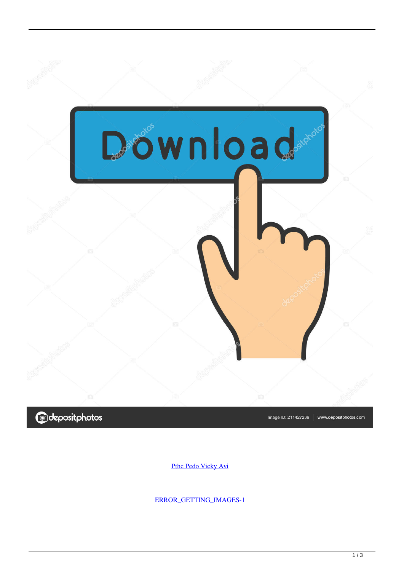



Image ID: 211427236 www.depositphotos.com

[Pthc Pedo Vicky Avi](http://urluss.com/15inmu)

[ERROR\\_GETTING\\_IMAGES-1](http://urluss.com/15inmu)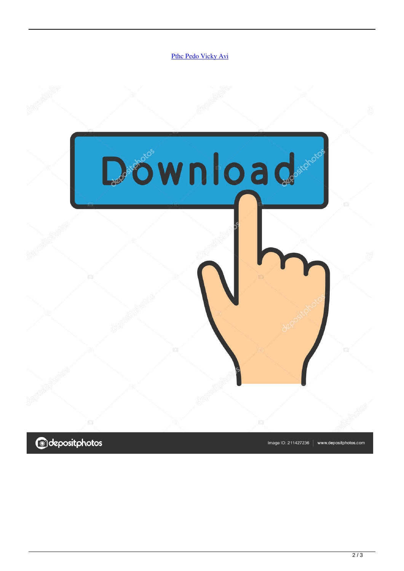

**@depositphotos** 

Image ID: 211427236 www.depositphotos.com